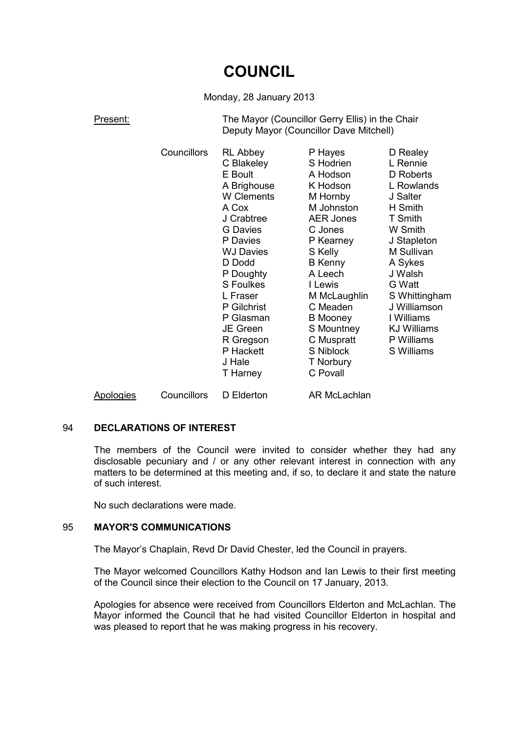# **COUNCIL**

## Monday, 28 January 2013

Present: The Mayor (Councillor Gerry Ellis) in the Chair Deputy Mayor (Councillor Dave Mitchell)

|           | Councillors | <b>RL Abbey</b><br>C Blakeley<br>E Boult<br>A Brighouse<br>W Clements<br>A Cox<br>J Crabtree<br><b>G</b> Davies<br>P Davies<br><b>WJ Davies</b><br>D Dodd<br>P Doughty<br>S Foulkes<br>L Fraser<br>P Gilchrist<br>P Glasman<br>JE Green<br>R Gregson<br>P Hackett<br>J Hale<br>T Harney | P Hayes<br>S Hodrien<br>A Hodson<br>K Hodson<br>M Hornby<br>M Johnston<br><b>AER Jones</b><br>C Jones<br>P Kearney<br>S Kelly<br><b>B</b> Kenny<br>A Leech<br>I Lewis<br>M McLaughlin<br>C Meaden<br><b>B</b> Mooney<br>S Mountney<br>C Muspratt<br>S Niblock<br>T Norbury<br>C Povall | D Realey<br>L Rennie<br>D Roberts<br>L Rowlands<br>J Salter<br>H Smith<br>T Smith<br>W Smith<br>J Stapleton<br>M Sullivan<br>A Sykes<br>J Walsh<br>G Watt<br>S Whittingham<br>J Williamson<br>I Williams<br><b>KJ Williams</b><br>P Williams<br>S Williams |
|-----------|-------------|-----------------------------------------------------------------------------------------------------------------------------------------------------------------------------------------------------------------------------------------------------------------------------------------|----------------------------------------------------------------------------------------------------------------------------------------------------------------------------------------------------------------------------------------------------------------------------------------|------------------------------------------------------------------------------------------------------------------------------------------------------------------------------------------------------------------------------------------------------------|
| Apologies | Councillors | D Elderton                                                                                                                                                                                                                                                                              | AR McLachlan                                                                                                                                                                                                                                                                           |                                                                                                                                                                                                                                                            |

## 94 **DECLARATIONS OF INTEREST**

The members of the Council were invited to consider whether they had any disclosable pecuniary and / or any other relevant interest in connection with any matters to be determined at this meeting and, if so, to declare it and state the nature of such interest.

No such declarations were made.

#### 95 **MAYOR'S COMMUNICATIONS**

The Mayor's Chaplain, Revd Dr David Chester, led the Council in prayers.

The Mayor welcomed Councillors Kathy Hodson and Ian Lewis to their first meeting of the Council since their election to the Council on 17 January, 2013.

Apologies for absence were received from Councillors Elderton and McLachlan. The Mayor informed the Council that he had visited Councillor Elderton in hospital and was pleased to report that he was making progress in his recovery.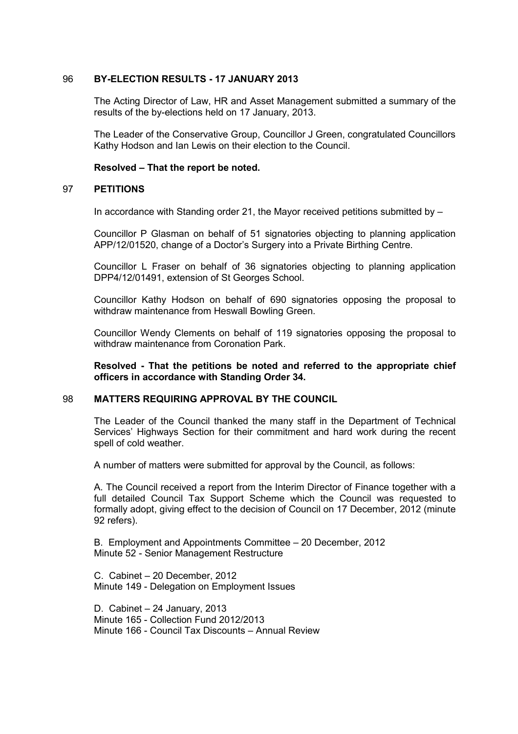## 96 **BY-ELECTION RESULTS - 17 JANUARY 2013**

The Acting Director of Law, HR and Asset Management submitted a summary of the results of the by-elections held on 17 January, 2013.

The Leader of the Conservative Group, Councillor J Green, congratulated Councillors Kathy Hodson and Ian Lewis on their election to the Council.

## **Resolved – That the report be noted.**

## 97 **PETITIONS**

In accordance with Standing order 21, the Mayor received petitions submitted by –

Councillor P Glasman on behalf of 51 signatories objecting to planning application APP/12/01520, change of a Doctor's Surgery into a Private Birthing Centre.

Councillor L Fraser on behalf of 36 signatories objecting to planning application DPP4/12/01491, extension of St Georges School.

Councillor Kathy Hodson on behalf of 690 signatories opposing the proposal to withdraw maintenance from Heswall Bowling Green.

Councillor Wendy Clements on behalf of 119 signatories opposing the proposal to withdraw maintenance from Coronation Park.

**Resolved - That the petitions be noted and referred to the appropriate chief officers in accordance with Standing Order 34.**

#### 98 **MATTERS REQUIRING APPROVAL BY THE COUNCIL**

The Leader of the Council thanked the many staff in the Department of Technical Services' Highways Section for their commitment and hard work during the recent spell of cold weather.

A number of matters were submitted for approval by the Council, as follows:

A. The Council received a report from the Interim Director of Finance together with a full detailed Council Tax Support Scheme which the Council was requested to formally adopt, giving effect to the decision of Council on 17 December, 2012 (minute 92 refers).

B. Employment and Appointments Committee – 20 December, 2012 Minute 52 - Senior Management Restructure

C. Cabinet – 20 December, 2012 Minute 149 - Delegation on Employment Issues

D. Cabinet – 24 January, 2013 Minute 165 - Collection Fund 2012/2013 Minute 166 - Council Tax Discounts – Annual Review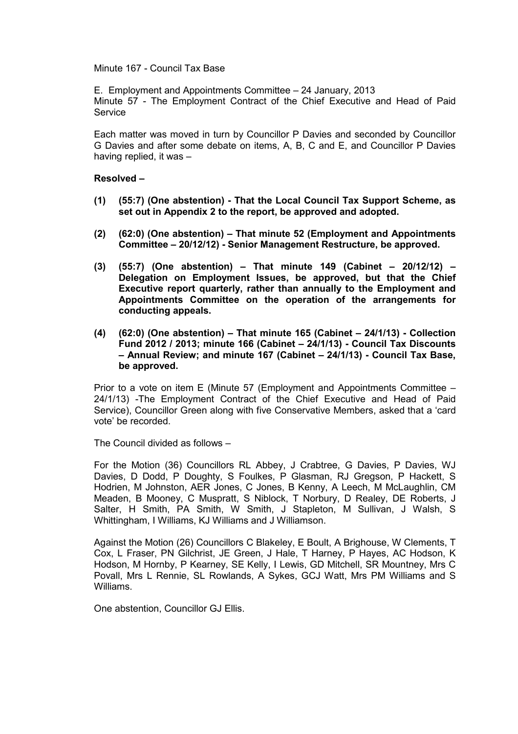#### Minute 167 - Council Tax Base

E. Employment and Appointments Committee – 24 January, 2013 Minute 57 - The Employment Contract of the Chief Executive and Head of Paid **Service** 

Each matter was moved in turn by Councillor P Davies and seconded by Councillor G Davies and after some debate on items, A, B, C and E, and Councillor P Davies having replied, it was –

## **Resolved –**

- **(1) (55:7) (One abstention) That the Local Council Tax Support Scheme, as set out in Appendix 2 to the report, be approved and adopted.**
- **(2) (62:0) (One abstention) That minute 52 (Employment and Appointments Committee – 20/12/12) - Senior Management Restructure, be approved.**
- **(3) (55:7) (One abstention) That minute 149 (Cabinet 20/12/12) Delegation on Employment Issues, be approved, but that the Chief Executive report quarterly, rather than annually to the Employment and Appointments Committee on the operation of the arrangements for conducting appeals.**
- **(4) (62:0) (One abstention) That minute 165 (Cabinet 24/1/13) Collection Fund 2012 / 2013; minute 166 (Cabinet – 24/1/13) - Council Tax Discounts – Annual Review; and minute 167 (Cabinet – 24/1/13) - Council Tax Base, be approved.**

Prior to a vote on item E (Minute 57 (Employment and Appointments Committee – 24/1/13) -The Employment Contract of the Chief Executive and Head of Paid Service), Councillor Green along with five Conservative Members, asked that a 'card vote' be recorded.

The Council divided as follows –

For the Motion (36) Councillors RL Abbey, J Crabtree, G Davies, P Davies, WJ Davies, D Dodd, P Doughty, S Foulkes, P Glasman, RJ Gregson, P Hackett, S Hodrien, M Johnston, AER Jones, C Jones, B Kenny, A Leech, M McLaughlin, CM Meaden, B Mooney, C Muspratt, S Niblock, T Norbury, D Realey, DE Roberts, J Salter, H Smith, PA Smith, W Smith, J Stapleton, M Sullivan, J Walsh, S Whittingham, I Williams, KJ Williams and J Williamson.

Against the Motion (26) Councillors C Blakeley, E Boult, A Brighouse, W Clements, T Cox, L Fraser, PN Gilchrist, JE Green, J Hale, T Harney, P Hayes, AC Hodson, K Hodson, M Hornby, P Kearney, SE Kelly, I Lewis, GD Mitchell, SR Mountney, Mrs C Povall, Mrs L Rennie, SL Rowlands, A Sykes, GCJ Watt, Mrs PM Williams and S Williams.

One abstention, Councillor GJ Ellis.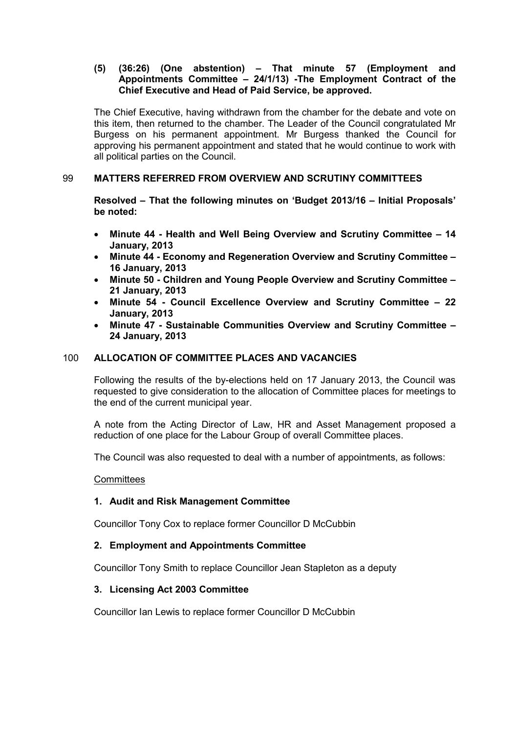## **(5) (36:26) (One abstention) – That minute 57 (Employment and Appointments Committee – 24/1/13) -The Employment Contract of the Chief Executive and Head of Paid Service, be approved.**

The Chief Executive, having withdrawn from the chamber for the debate and vote on this item, then returned to the chamber. The Leader of the Council congratulated Mr Burgess on his permanent appointment. Mr Burgess thanked the Council for approving his permanent appointment and stated that he would continue to work with all political parties on the Council.

## 99 **MATTERS REFERRED FROM OVERVIEW AND SCRUTINY COMMITTEES**

**Resolved – That the following minutes on 'Budget 2013/16 – Initial Proposals' be noted:** 

- **Minute 44 Health and Well Being Overview and Scrutiny Committee 14 January, 2013**
- **Minute 44 Economy and Regeneration Overview and Scrutiny Committee 16 January, 2013**
- **Minute 50 Children and Young People Overview and Scrutiny Committee 21 January, 2013**
- **Minute 54 Council Excellence Overview and Scrutiny Committee 22 January, 2013**
- **Minute 47 Sustainable Communities Overview and Scrutiny Committee 24 January, 2013**

## 100 **ALLOCATION OF COMMITTEE PLACES AND VACANCIES**

Following the results of the by-elections held on 17 January 2013, the Council was requested to give consideration to the allocation of Committee places for meetings to the end of the current municipal year.

A note from the Acting Director of Law, HR and Asset Management proposed a reduction of one place for the Labour Group of overall Committee places.

The Council was also requested to deal with a number of appointments, as follows:

#### **Committees**

## **1. Audit and Risk Management Committee**

Councillor Tony Cox to replace former Councillor D McCubbin

## **2. Employment and Appointments Committee**

Councillor Tony Smith to replace Councillor Jean Stapleton as a deputy

#### **3. Licensing Act 2003 Committee**

Councillor Ian Lewis to replace former Councillor D McCubbin